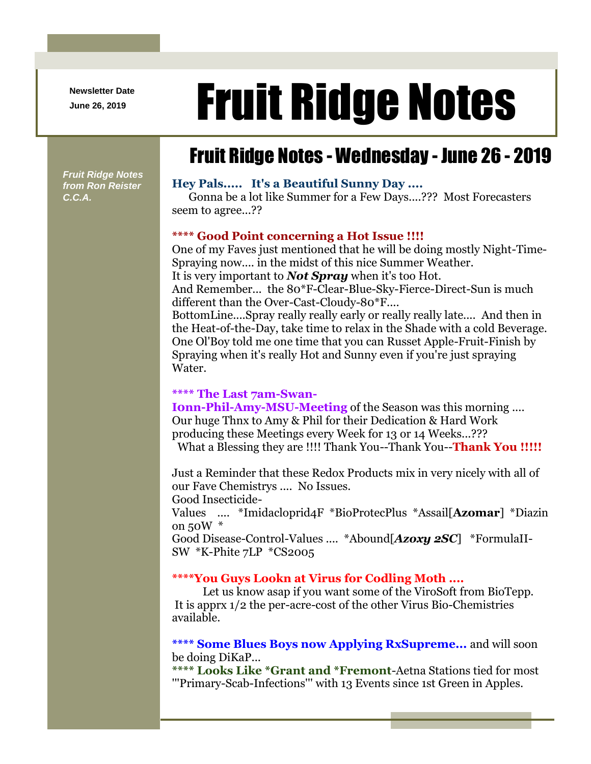**Newsletter Date**

# Newsletter Date **Fruit Ridge Notes**

## Fruit Ridge Notes - Wednesday - June 26 - 2019

*Fruit Ridge Notes from Ron Reister C.C.A.*

#### **Hey Pals..... It's a Beautiful Sunny Day ....**

Gonna be a lot like Summer for a Few Days....??? Most Forecasters seem to agree...??

#### **\*\*\*\* Good Point concerning a Hot Issue !!!!**

One of my Faves just mentioned that he will be doing mostly Night-Time-Spraying now.... in the midst of this nice Summer Weather. It is very important to *Not Spray* when it's too Hot. And Remember... the 80\*F-Clear-Blue-Sky-Fierce-Direct-Sun is much different than the Over-Cast-Cloudy-80\*F.... BottomLine....Spray really really early or really really late.... And then in

the Heat-of-the-Day, take time to relax in the Shade with a cold Beverage. One Ol'Boy told me one time that you can Russet Apple-Fruit-Finish by Spraying when it's really Hot and Sunny even if you're just spraying Water.

#### **\*\*\*\* The Last 7am-Swan-**

**Ionn-Phil-Amy-MSU-Meeting** of the Season was this morning .... Our huge Thnx to Amy & Phil for their Dedication & Hard Work producing these Meetings every Week for 13 or 14 Weeks...??? What a Blessing they are !!!! Thank You--Thank You--**Thank You !!!!!**

Just a Reminder that these Redox Products mix in very nicely with all of our Fave Chemistrys .... No Issues.

Good Insecticide-

Values .... \*Imidacloprid4F \*BioProtecPlus \*Assail[**Azomar**] \*Diazin on 50W \*

Good Disease-Control-Values .... \*Abound[*Azoxy 2SC*] \*FormulaII-SW \*K-Phite 7LP \*CS2005

#### **\*\*\*\*You Guys Lookn at Virus for Codling Moth ....**

Let us know asap if you want some of the ViroSoft from BioTepp. It is apprx 1/2 the per-acre-cost of the other Virus Bio-Chemistries available.

**\*\*\*\* Some Blues Boys now Applying RxSupreme...** and will soon be doing DiKaP...

**\*\*\*\* Looks Like \*Grant and \*Fremont**-Aetna Stations tied for most '''Primary-Scab-Infections''' with 13 Events since 1st Green in Apples.